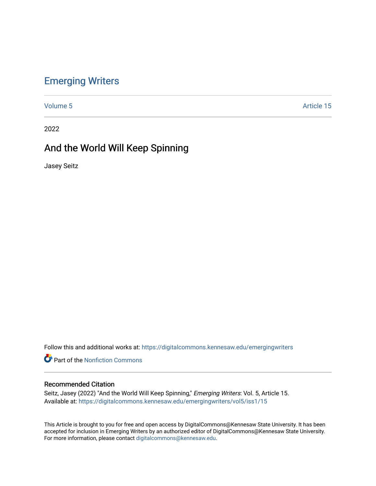## [Emerging Writers](https://digitalcommons.kennesaw.edu/emergingwriters)

[Volume 5](https://digitalcommons.kennesaw.edu/emergingwriters/vol5) Article 15

2022

# And the World Will Keep Spinning

Jasey Seitz

Follow this and additional works at: [https://digitalcommons.kennesaw.edu/emergingwriters](https://digitalcommons.kennesaw.edu/emergingwriters?utm_source=digitalcommons.kennesaw.edu%2Femergingwriters%2Fvol5%2Fiss1%2F15&utm_medium=PDF&utm_campaign=PDFCoverPages) 

**Part of the Nonfiction Commons** 

### Recommended Citation

Seitz, Jasey (2022) "And the World Will Keep Spinning," Emerging Writers: Vol. 5, Article 15. Available at: [https://digitalcommons.kennesaw.edu/emergingwriters/vol5/iss1/15](https://digitalcommons.kennesaw.edu/emergingwriters/vol5/iss1/15?utm_source=digitalcommons.kennesaw.edu%2Femergingwriters%2Fvol5%2Fiss1%2F15&utm_medium=PDF&utm_campaign=PDFCoverPages)

This Article is brought to you for free and open access by DigitalCommons@Kennesaw State University. It has been accepted for inclusion in Emerging Writers by an authorized editor of DigitalCommons@Kennesaw State University. For more information, please contact [digitalcommons@kennesaw.edu.](mailto:digitalcommons@kennesaw.edu)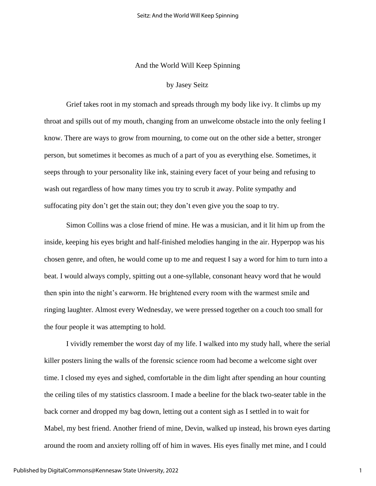### And the World Will Keep Spinning

#### by Jasey Seitz

Grief takes root in my stomach and spreads through my body like ivy. It climbs up my throat and spills out of my mouth, changing from an unwelcome obstacle into the only feeling I know. There are ways to grow from mourning, to come out on the other side a better, stronger person, but sometimes it becomes as much of a part of you as everything else. Sometimes, it seeps through to your personality like ink, staining every facet of your being and refusing to wash out regardless of how many times you try to scrub it away. Polite sympathy and suffocating pity don't get the stain out; they don't even give you the soap to try.

Simon Collins was a close friend of mine. He was a musician, and it lit him up from the inside, keeping his eyes bright and half-finished melodies hanging in the air. Hyperpop was his chosen genre, and often, he would come up to me and request I say a word for him to turn into a beat. I would always comply, spitting out a one-syllable, consonant heavy word that he would then spin into the night's earworm. He brightened every room with the warmest smile and ringing laughter. Almost every Wednesday, we were pressed together on a couch too small for the four people it was attempting to hold.

I vividly remember the worst day of my life. I walked into my study hall, where the serial killer posters lining the walls of the forensic science room had become a welcome sight over time. I closed my eyes and sighed, comfortable in the dim light after spending an hour counting the ceiling tiles of my statistics classroom. I made a beeline for the black two-seater table in the back corner and dropped my bag down, letting out a content sigh as I settled in to wait for Mabel, my best friend. Another friend of mine, Devin, walked up instead, his brown eyes darting around the room and anxiety rolling off of him in waves. His eyes finally met mine, and I could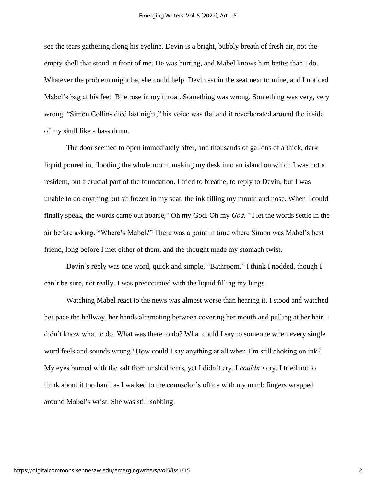see the tears gathering along his eyeline. Devin is a bright, bubbly breath of fresh air, not the empty shell that stood in front of me. He was hurting, and Mabel knows him better than I do. Whatever the problem might be, she could help. Devin sat in the seat next to mine, and I noticed Mabel's bag at his feet. Bile rose in my throat. Something was wrong. Something was very, very wrong. "Simon Collins died last night," his voice was flat and it reverberated around the inside of my skull like a bass drum.

The door seemed to open immediately after, and thousands of gallons of a thick, dark liquid poured in, flooding the whole room, making my desk into an island on which I was not a resident, but a crucial part of the foundation. I tried to breathe, to reply to Devin, but I was unable to do anything but sit frozen in my seat, the ink filling my mouth and nose. When I could finally speak, the words came out hoarse, "Oh my God. Oh my *God."* I let the words settle in the air before asking, "Where's Mabel?" There was a point in time where Simon was Mabel's best friend, long before I met either of them, and the thought made my stomach twist.

Devin's reply was one word, quick and simple, "Bathroom." I think I nodded, though I can't be sure, not really. I was preoccupied with the liquid filling my lungs.

Watching Mabel react to the news was almost worse than hearing it. I stood and watched her pace the hallway, her hands alternating between covering her mouth and pulling at her hair. I didn't know what to do. What was there to do? What could I say to someone when every single word feels and sounds wrong? How could I say anything at all when I'm still choking on ink? My eyes burned with the salt from unshed tears, yet I didn't cry. I *couldn't* cry. I tried not to think about it too hard, as I walked to the counselor's office with my numb fingers wrapped around Mabel's wrist. She was still sobbing.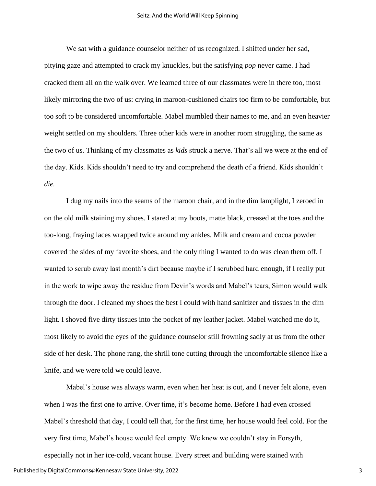We sat with a guidance counselor neither of us recognized. I shifted under her sad, pitying gaze and attempted to crack my knuckles, but the satisfying *pop* never came. I had cracked them all on the walk over. We learned three of our classmates were in there too, most likely mirroring the two of us: crying in maroon-cushioned chairs too firm to be comfortable, but too soft to be considered uncomfortable. Mabel mumbled their names to me, and an even heavier weight settled on my shoulders. Three other kids were in another room struggling, the same as the two of us. Thinking of my classmates as *kids* struck a nerve. That's all we were at the end of the day. Kids. Kids shouldn't need to try and comprehend the death of a friend. Kids shouldn't *die.*

I dug my nails into the seams of the maroon chair, and in the dim lamplight, I zeroed in on the old milk staining my shoes. I stared at my boots, matte black, creased at the toes and the too-long, fraying laces wrapped twice around my ankles. Milk and cream and cocoa powder covered the sides of my favorite shoes, and the only thing I wanted to do was clean them off. I wanted to scrub away last month's dirt because maybe if I scrubbed hard enough, if I really put in the work to wipe away the residue from Devin's words and Mabel's tears, Simon would walk through the door. I cleaned my shoes the best I could with hand sanitizer and tissues in the dim light. I shoved five dirty tissues into the pocket of my leather jacket. Mabel watched me do it, most likely to avoid the eyes of the guidance counselor still frowning sadly at us from the other side of her desk. The phone rang, the shrill tone cutting through the uncomfortable silence like a knife, and we were told we could leave.

Mabel's house was always warm, even when her heat is out, and I never felt alone, even when I was the first one to arrive. Over time, it's become home. Before I had even crossed Mabel's threshold that day, I could tell that, for the first time, her house would feel cold. For the very first time, Mabel's house would feel empty. We knew we couldn't stay in Forsyth,

especially not in her ice-cold, vacant house. Every street and building were stained with Published by DigitalCommons@Kennesaw State University, 2022

3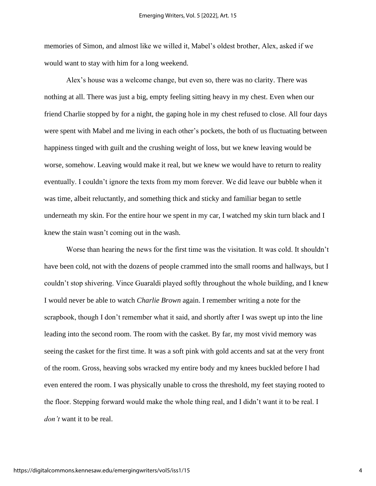memories of Simon, and almost like we willed it, Mabel's oldest brother, Alex, asked if we would want to stay with him for a long weekend.

Alex's house was a welcome change, but even so, there was no clarity. There was nothing at all. There was just a big, empty feeling sitting heavy in my chest. Even when our friend Charlie stopped by for a night, the gaping hole in my chest refused to close. All four days were spent with Mabel and me living in each other's pockets, the both of us fluctuating between happiness tinged with guilt and the crushing weight of loss, but we knew leaving would be worse, somehow. Leaving would make it real, but we knew we would have to return to reality eventually. I couldn't ignore the texts from my mom forever. We did leave our bubble when it was time, albeit reluctantly, and something thick and sticky and familiar began to settle underneath my skin. For the entire hour we spent in my car, I watched my skin turn black and I knew the stain wasn't coming out in the wash.

Worse than hearing the news for the first time was the visitation. It was cold. It shouldn't have been cold, not with the dozens of people crammed into the small rooms and hallways, but I couldn't stop shivering. Vince Guaraldi played softly throughout the whole building, and I knew I would never be able to watch *Charlie Brown* again. I remember writing a note for the scrapbook, though I don't remember what it said, and shortly after I was swept up into the line leading into the second room. The room with the casket. By far, my most vivid memory was seeing the casket for the first time. It was a soft pink with gold accents and sat at the very front of the room. Gross, heaving sobs wracked my entire body and my knees buckled before I had even entered the room. I was physically unable to cross the threshold, my feet staying rooted to the floor. Stepping forward would make the whole thing real, and I didn't want it to be real. I *don't* want it to be real.

4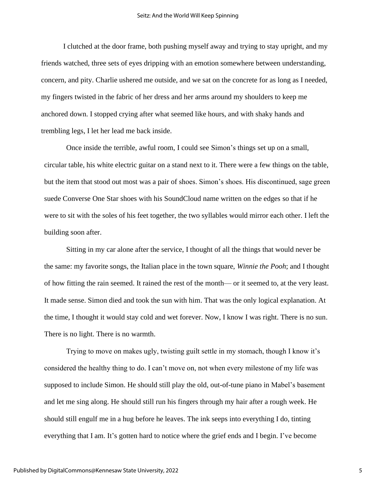I clutched at the door frame, both pushing myself away and trying to stay upright, and my friends watched, three sets of eyes dripping with an emotion somewhere between understanding, concern, and pity. Charlie ushered me outside, and we sat on the concrete for as long as I needed, my fingers twisted in the fabric of her dress and her arms around my shoulders to keep me anchored down. I stopped crying after what seemed like hours, and with shaky hands and trembling legs, I let her lead me back inside.

Once inside the terrible, awful room, I could see Simon's things set up on a small, circular table, his white electric guitar on a stand next to it. There were a few things on the table, but the item that stood out most was a pair of shoes. Simon's shoes. His discontinued, sage green suede Converse One Star shoes with his SoundCloud name written on the edges so that if he were to sit with the soles of his feet together, the two syllables would mirror each other. I left the building soon after.

Sitting in my car alone after the service, I thought of all the things that would never be the same: my favorite songs, the Italian place in the town square, *Winnie the Pooh*; and I thought of how fitting the rain seemed. It rained the rest of the month— or it seemed to, at the very least. It made sense. Simon died and took the sun with him. That was the only logical explanation. At the time, I thought it would stay cold and wet forever. Now, I know I was right. There is no sun. There is no light. There is no warmth.

Trying to move on makes ugly, twisting guilt settle in my stomach, though I know it's considered the healthy thing to do. I can't move on, not when every milestone of my life was supposed to include Simon. He should still play the old, out-of-tune piano in Mabel's basement and let me sing along. He should still run his fingers through my hair after a rough week. He should still engulf me in a hug before he leaves. The ink seeps into everything I do, tinting everything that I am. It's gotten hard to notice where the grief ends and I begin. I've become

5